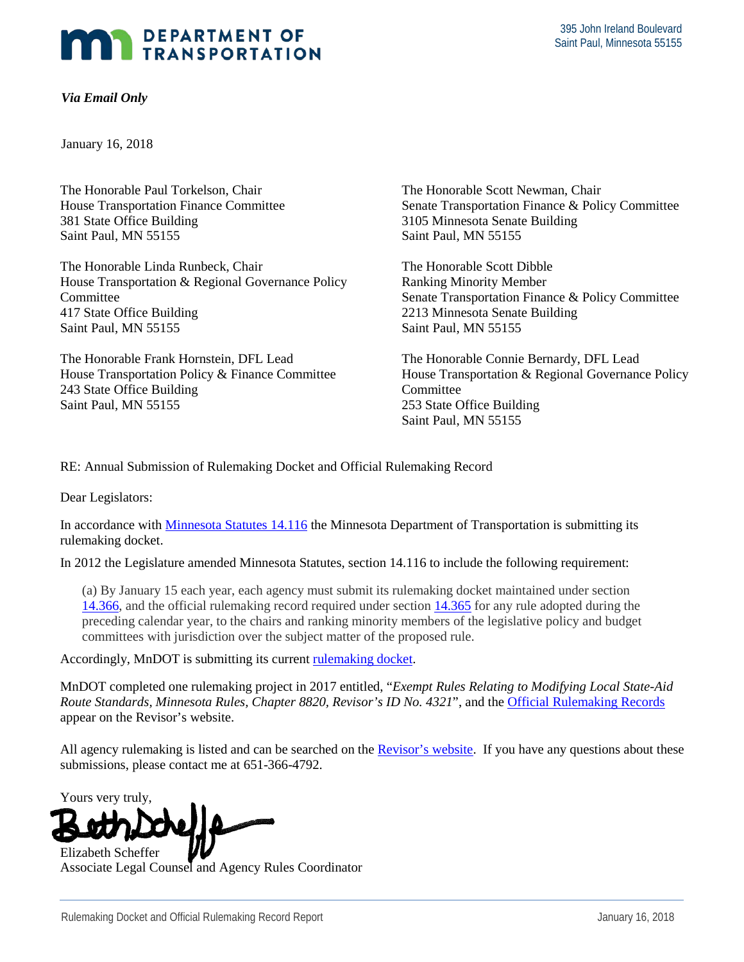## DEPARTMENT OF TRANSPORTATION

## *Via Email Only*

January 16, 2018

The Honorable Paul Torkelson, Chair House Transportation Finance Committee 381 State Office Building Saint Paul, MN 55155

The Honorable Linda Runbeck, Chair House Transportation & Regional Governance Policy Committee 417 State Office Building Saint Paul, MN 55155

The Honorable Frank Hornstein, DFL Lead House Transportation Policy & Finance Committee 243 State Office Building Saint Paul, MN 55155

The Honorable Scott Newman, Chair Senate Transportation Finance & Policy Committee 3105 Minnesota Senate Building Saint Paul, MN 55155

The Honorable Scott Dibble Ranking Minority Member Senate Transportation Finance & Policy Committee 2213 Minnesota Senate Building Saint Paul, MN 55155

The Honorable Connie Bernardy, DFL Lead House Transportation & Regional Governance Policy **Committee** 253 State Office Building Saint Paul, MN 55155

RE: Annual Submission of Rulemaking Docket and Official Rulemaking Record

Dear Legislators:

In accordance with [Minnesota Statutes 14.116](https://www.revisor.mn.gov/statutes/?id=14.116) the Minnesota Department of Transportation is submitting its rulemaking docket.

In 2012 the Legislature amended Minnesota Statutes, section 14.116 to include the following requirement:

(a) By January 15 each year, each agency must submit its rulemaking docket maintained under section [14.366,](https://www.revisor.mn.gov/statutes?id=14.366#stat.14.366) and the official rulemaking record required under section [14.365](https://www.revisor.mn.gov/statutes?id=14.365#stat.14.365) for any rule adopted during the preceding calendar year, to the chairs and ranking minority members of the legislative policy and budget committees with jurisdiction over the subject matter of the proposed rule.

Accordingly, MnDOT is submitting its current [rulemaking docket.](http://www.dot.state.mn.us/govrel/reports.html)

MnDOT completed one rulemaking project in 2017 entitled, "*Exempt Rules Relating to Modifying Local State-Aid Route Standards, Minnesota Rules, Chapter 8820, Revisor's ID No. 4321*", and th[e Official Rulemaking Records](https://www.revisor.mn.gov/rules/rule_display.php?id=R-04321&keyword_set%5B%5D=document&keyword_set%5B%5D=title&keyword_set%5B%5D=action&keyword_set%5B%5D=revisor&keyword_set%5B%5D=lrl&keyword_set%5B%5D=oah&keyword_set%5B%5D=ag&revisor_id=4321) appear on the Revisor's website.

All agency rulemaking is listed and can be searched on th[e Revisor's website.](http://www.revisor.mn.gov/rules/rule_search.php) If you have any questions about these submissions, please contact me at 651-366-4792.

Yours very truly,



Associate Legal Counsel and Agency Rules Coordinator